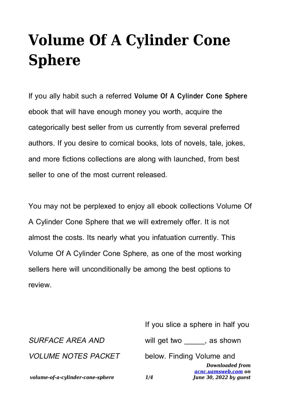## **Volume Of A Cylinder Cone Sphere**

If you ally habit such a referred **Volume Of A Cylinder Cone Sphere** ebook that will have enough money you worth, acquire the categorically best seller from us currently from several preferred authors. If you desire to comical books, lots of novels, tale, jokes, and more fictions collections are along with launched, from best seller to one of the most current released.

You may not be perplexed to enjoy all ebook collections Volume Of A Cylinder Cone Sphere that we will extremely offer. It is not almost the costs. Its nearly what you infatuation currently. This Volume Of A Cylinder Cone Sphere, as one of the most working sellers here will unconditionally be among the best options to review.

|                                  | If you slice a sphere in half you                                              |
|----------------------------------|--------------------------------------------------------------------------------|
| <b>SURFACE AREA AND</b>          | will get two , as shown                                                        |
| <b>VOLUME NOTES PACKET</b>       | below. Finding Volume and                                                      |
| volume-of-a-cylinder-cone-sphere | <b>Downloaded from</b><br>acnc.uamsweb.com on<br>June 30, 2022 by guest<br>1/4 |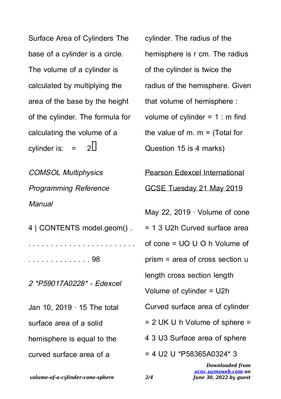Surface Area of Cylinders The base of a cylinder is a circle. The volume of a cylinder is calculated by multiplying the area of the base by the height of the cylinder. The formula for calculating the volume of a cylinder is:  $=$  2

COMSOL Multiphysics Programming Reference **Manual** 

4 | CONTENTS model.geom() . . . . . . . . . . . . . . . . . . . . . . . . . . . . . . . . . . . . . . . 98

2 \*P59017A0228\* - Edexcel

Jan 10, 2019 · 15 The total surface area of a solid hemisphere is equal to the curved surface area of a

cylinder. The radius of the hemisphere is r cm. The radius of the cylinder is twice the radius of the hemisphere. Given that volume of hemisphere : volume of cylinder  $= 1$  : m find the value of m.  $m =$  (Total for Question 15 is 4 marks) Pearson Edexcel International GCSE Tuesday 21 May 2019 May 22, 2019 · Volume of cone = 1 3 U2h Curved surface area of cone = UO U O h Volume of prism = area of cross section u length cross section length Volume of cylinder = U2h Curved surface area of cylinder = 2 UK U h Volume of sphere = 4 3 U3 Surface area of sphere  $= 4$  U2 U \*P58365A0324\* 3

*volume-of-a-cylinder-cone-sphere 2/4*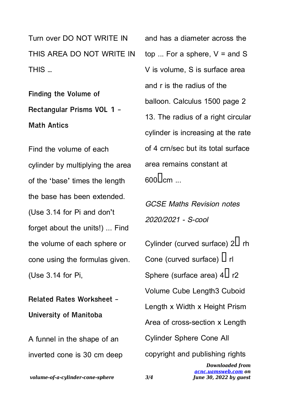Turn over DO NOT WRITE IN THIS AREA DO NOT WRITE IN THIS …

**Finding the Volume of Rectangular Prisms VOL 1 - Math Antics**

Find the volume of each cylinder by multiplying the area of the 'base' times the length the base has been extended. (Use 3.14 for Pi and don't forget about the units!) ... Find the volume of each sphere or cone using the formulas given. (Use 3.14 for Pi,

**Related Rates Worksheet - University of Manitoba**

A funnel in the shape of an inverted cone is 30 cm deep and has a diameter across the top ... For a sphere,  $V =$  and S V is volume, S is surface area and r is the radius of the balloon. Calculus 1500 page 2 13. The radius of a right circular cylinder is increasing at the rate of 4 crn/sec but its total surface area remains constant at  $\frac{600}{\text{cm}}$ 

GCSE Maths Revision notes 2020/2021 - S-cool

*Downloaded from [acnc.uamsweb.com](http://acnc.uamsweb.com) on June 30, 2022 by guest* Cylinder (curved surface)  $2\Box$  rh Cone (curved surface)  $\Box$  rl Sphere (surface area)  $4\Box$  r2 Volume Cube Length3 Cuboid Length x Width x Height Prism Area of cross-section x Length Cylinder Sphere Cone All copyright and publishing rights